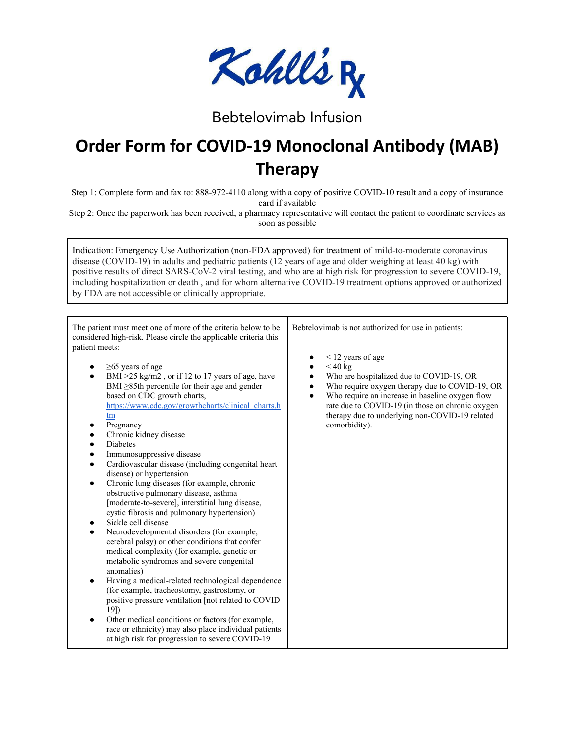

## Bebtelovimab Infusion

## **Order Form for COVID-19 Monoclonal Antibody (MAB) Therapy**

Step 1: Complete form and fax to: 888-972-4110 along with a copy of positive COVID-10 result and a copy of insurance card if available

Step 2: Once the paperwork has been received, a pharmacy representative will contact the patient to coordinate services as soon as possible

Indication: Emergency Use Authorization (non-FDA approved) for treatment of mild-to-moderate coronavirus disease (COVID-19) in adults and pediatric patients (12 years of age and older weighing at least 40 kg) with positive results of direct SARS-CoV-2 viral testing, and who are at high risk for progression to severe COVID-19, including hospitalization or death , and for whom alternative COVID-19 treatment options approved or authorized by FDA are not accessible or clinically appropriate.

The patient must meet one of more of the criteria below to be considered high-risk. Please circle the applicable criteria this patient meets:

- $\geq$ 65 years of age
- $BMI >25$  kg/m2, or if 12 to 17 years of age, have BMI ≥85th percentile for their age and gender based on CDC growth charts, [https://www.cdc.gov/growthcharts/clinical\\_charts.h](https://www.cdc.gov/growthcharts/clinical_charts.htm) [tm](https://www.cdc.gov/growthcharts/clinical_charts.htm)
- Pregnancy
- Chronic kidney disease
- **Diabetes**
- Immunosuppressive disease
- Cardiovascular disease (including congenital heart) disease) or hypertension
- Chronic lung diseases (for example, chronic obstructive pulmonary disease, asthma [moderate-to-severe], interstitial lung disease, cystic fibrosis and pulmonary hypertension)
- Sickle cell disease
- Neurodevelopmental disorders (for example, cerebral palsy) or other conditions that confer medical complexity (for example, genetic or metabolic syndromes and severe congenital anomalies)
- Having a medical-related technological dependence (for example, tracheostomy, gastrostomy, or positive pressure ventilation [not related to COVID 19])
- Other medical conditions or factors (for example, race or ethnicity) may also place individual patients at high risk for progression to severe COVID-19

Bebtelovimab is not authorized for use in patients:

- $\bullet$  < 12 years of age
- $<$  40 kg
- Who are hospitalized due to COVID-19, OR
- Who require oxygen therapy due to COVID-19, OR
- Who require an increase in baseline oxygen flow rate due to COVID-19 (in those on chronic oxygen therapy due to underlying non-COVID-19 related comorbidity).